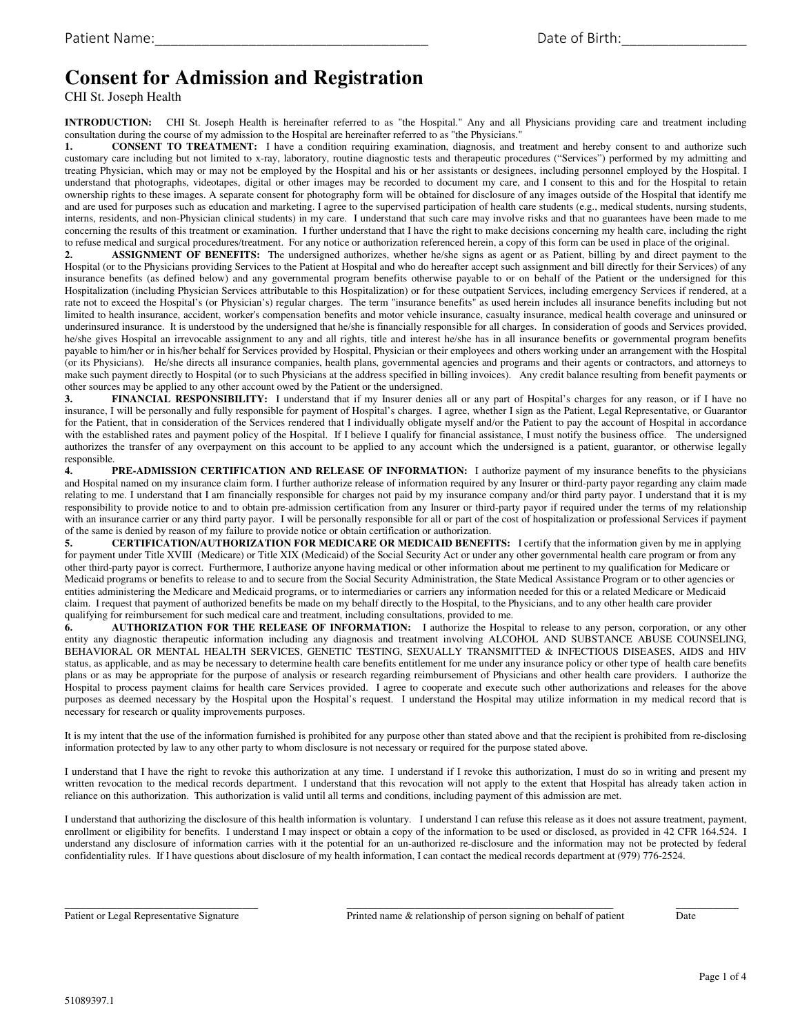# **Consent for Admission and Registration**

CHI St. Joseph Health

**INTRODUCTION:** CHI St. Joseph Health is hereinafter referred to as "the Hospital." Any and all Physicians providing care and treatment including consultation during the course of my admission to the Hospital are hereinafter referred to as "the Physicians."

**1. CONSENT TO TREATMENT:** I have a condition requiring examination, diagnosis, and treatment and hereby consent to and authorize such customary care including but not limited to x-ray, laboratory, routine diagnostic tests and therapeutic procedures ("Services") performed by my admitting and treating Physician, which may or may not be employed by the Hospital and his or her assistants or designees, including personnel employed by the Hospital. I understand that photographs, videotapes, digital or other images may be recorded to document my care, and I consent to this and for the Hospital to retain ownership rights to these images. A separate consent for photography form will be obtained for disclosure of any images outside of the Hospital that identify me and are used for purposes such as education and marketing. I agree to the supervised participation of health care students (e.g., medical students, nursing students, interns, residents, and non-Physician clinical students) in my care. I understand that such care may involve risks and that no guarantees have been made to me concerning the results of this treatment or examination. I further understand that I have the right to make decisions concerning my health care, including the right to refuse medical and surgical procedures/treatment. For any notice or authorization referenced herein, a copy of this form can be used in place of the original.

**2. ASSIGNMENT OF BENEFITS:** The undersigned authorizes, whether he/she signs as agent or as Patient, billing by and direct payment to the Hospital (or to the Physicians providing Services to the Patient at Hospital and who do hereafter accept such assignment and bill directly for their Services) of any insurance benefits (as defined below) and any governmental program benefits otherwise payable to or on behalf of the Patient or the undersigned for this Hospitalization (including Physician Services attributable to this Hospitalization) or for these outpatient Services, including emergency Services if rendered, at a rate not to exceed the Hospital's (or Physician's) regular charges. The term "insurance benefits" as used herein includes all insurance benefits including but not limited to health insurance, accident, worker's compensation benefits and motor vehicle insurance, casualty insurance, medical health coverage and uninsured or underinsured insurance. It is understood by the undersigned that he/she is financially responsible for all charges. In consideration of goods and Services provided, he/she gives Hospital an irrevocable assignment to any and all rights, title and interest he/she has in all insurance benefits or governmental program benefits payable to him/her or in his/her behalf for Services provided by Hospital, Physician or their employees and others working under an arrangement with the Hospital (or its Physicians). He/she directs all insurance companies, health plans, governmental agencies and programs and their agents or contractors, and attorneys to make such payment directly to Hospital (or to such Physicians at the address specified in billing invoices). Any credit balance resulting from benefit payments or other sources may be applied to any other account owed by the Patient or the undersigned.

**3. FINANCIAL RESPONSIBILITY:** I understand that if my Insurer denies all or any part of Hospital's charges for any reason, or if I have no insurance, I will be personally and fully responsible for payment of Hospital's charges. I agree, whether I sign as the Patient, Legal Representative, or Guarantor for the Patient, that in consideration of the Services rendered that I individually obligate myself and/or the Patient to pay the account of Hospital in accordance with the established rates and payment policy of the Hospital. If I believe I qualify for financial assistance, I must notify the business office. The undersigned authorizes the transfer of any overpayment on this account to be applied to any account which the undersigned is a patient, guarantor, or otherwise legally responsible.

**4. PRE-ADMISSION CERTIFICATION AND RELEASE OF INFORMATION:** I authorize payment of my insurance benefits to the physicians and Hospital named on my insurance claim form. I further authorize release of information required by any Insurer or third-party payor regarding any claim made relating to me. I understand that I am financially responsible for charges not paid by my insurance company and/or third party payor. I understand that it is my responsibility to provide notice to and to obtain pre-admission certification from any Insurer or third-party payor if required under the terms of my relationship with an insurance carrier or any third party payor. I will be personally responsible for all or part of the cost of hospitalization or professional Services if payment of the same is denied by reason of my failure to provide notice or obtain certification or authorization.

**5. CERTIFICATION/AUTHORIZATION FOR MEDICARE OR MEDICAID BENEFITS:** I certify that the information given by me in applying for payment under Title XVIII (Medicare) or Title XIX (Medicaid) of the Social Security Act or under any other governmental health care program or from any other third-party payor is correct. Furthermore, I authorize anyone having medical or other information about me pertinent to my qualification for Medicare or Medicaid programs or benefits to release to and to secure from the Social Security Administration, the State Medical Assistance Program or to other agencies or entities administering the Medicare and Medicaid programs, or to intermediaries or carriers any information needed for this or a related Medicare or Medicaid claim. I request that payment of authorized benefits be made on my behalf directly to the Hospital, to the Physicians, and to any other health care provider qualifying for reimbursement for such medical care and treatment, including consultations, provided to me.<br>6. AUTHORIZATION FOR THE RELEASE OF INFORMATION: I authorize the Hospi

**6. AUTHORIZATION FOR THE RELEASE OF INFORMATION:** I authorize the Hospital to release to any person, corporation, or any other entity any diagnostic therapeutic information including any diagnosis and treatment involving ALCOHOL AND SUBSTANCE ABUSE COUNSELING, BEHAVIORAL OR MENTAL HEALTH SERVICES, GENETIC TESTING, SEXUALLY TRANSMITTED & INFECTIOUS DISEASES, AIDS and HIV status, as applicable, and as may be necessary to determine health care benefits entitlement for me under any insurance policy or other type of health care benefits plans or as may be appropriate for the purpose of analysis or research regarding reimbursement of Physicians and other health care providers. I authorize the Hospital to process payment claims for health care Services provided. I agree to cooperate and execute such other authorizations and releases for the above purposes as deemed necessary by the Hospital upon the Hospital's request. I understand the Hospital may utilize information in my medical record that is necessary for research or quality improvements purposes.

It is my intent that the use of the information furnished is prohibited for any purpose other than stated above and that the recipient is prohibited from re-disclosing information protected by law to any other party to whom disclosure is not necessary or required for the purpose stated above.

I understand that I have the right to revoke this authorization at any time. I understand if I revoke this authorization, I must do so in writing and present my written revocation to the medical records department. I understand that this revocation will not apply to the extent that Hospital has already taken action in reliance on this authorization. This authorization is valid until all terms and conditions, including payment of this admission are met.

I understand that authorizing the disclosure of this health information is voluntary. I understand I can refuse this release as it does not assure treatment, payment, enrollment or eligibility for benefits. I understand I may inspect or obtain a copy of the information to be used or disclosed, as provided in 42 CFR 164.524. I understand any disclosure of information carries with it the potential for an un-authorized re-disclosure and the information may not be protected by federal confidentiality rules. If I have questions about disclosure of my health information, I can contact the medical records department at (979) 776-2524.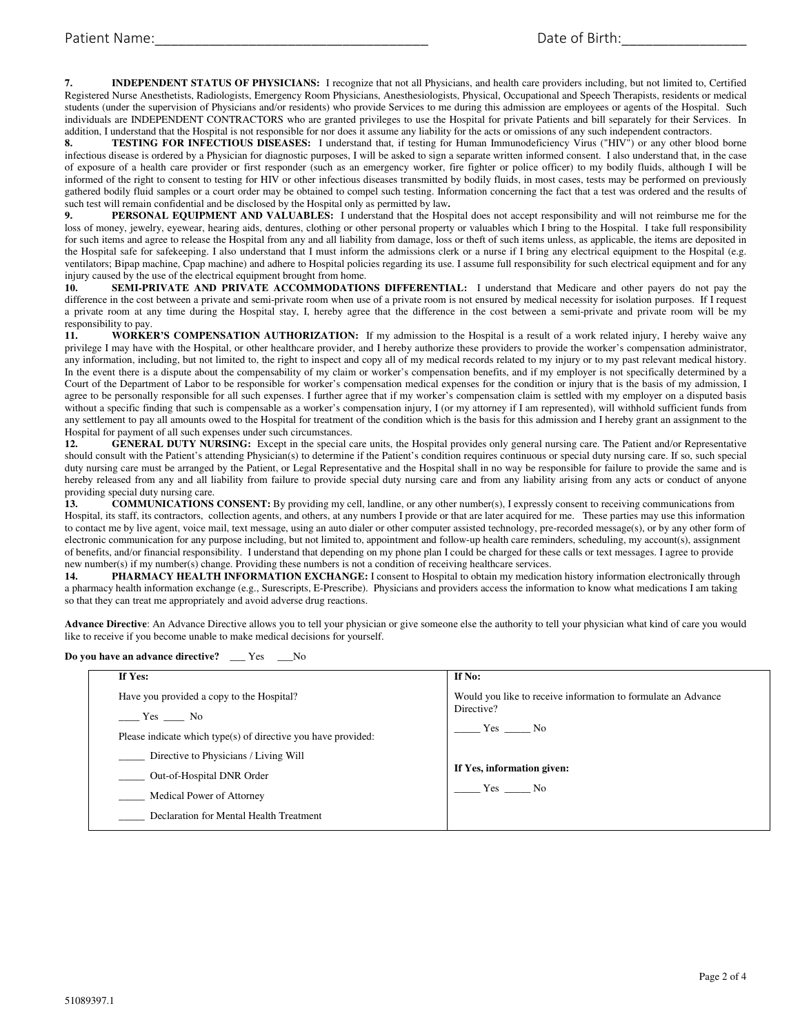**7. INDEPENDENT STATUS OF PHYSICIANS:** I recognize that not all Physicians, and health care providers including, but not limited to, Certified Registered Nurse Anesthetists, Radiologists, Emergency Room Physicians, Anesthesiologists, Physical, Occupational and Speech Therapists, residents or medical students (under the supervision of Physicians and/or residents) who provide Services to me during this admission are employees or agents of the Hospital. Such individuals are INDEPENDENT CONTRACTORS who are granted privileges to use the Hospital for private Patients and bill separately for their Services. In addition, I understand that the Hospital is not responsible for nor does it assume any liability for the acts or omissions of any such independent contractors.

**8. TESTING FOR INFECTIOUS DISEASES:** I understand that, if testing for Human Immunodeficiency Virus ("HIV") or any other blood borne infectious disease is ordered by a Physician for diagnostic purposes, I will be asked to sign a separate written informed consent. I also understand that, in the case of exposure of a health care provider or first responder (such as an emergency worker, fire fighter or police officer) to my bodily fluids, although I will be informed of the right to consent to testing for HIV or other infectious diseases transmitted by bodily fluids, in most cases, tests may be performed on previously gathered bodily fluid samples or a court order may be obtained to compel such testing. Information concerning the fact that a test was ordered and the results of such test will remain confidential and be disclosed by the Hospital only as permitted by law**.** 

**9. PERSONAL EQUIPMENT AND VALUABLES:** I understand that the Hospital does not accept responsibility and will not reimburse me for the loss of money, jewelry, eyewear, hearing aids, dentures, clothing or other personal property or valuables which I bring to the Hospital. I take full responsibility for such items and agree to release the Hospital from any and all liability from damage, loss or theft of such items unless, as applicable, the items are deposited in the Hospital safe for safekeeping. I also understand that I must inform the admissions clerk or a nurse if I bring any electrical equipment to the Hospital (e.g. ventilators; Bipap machine, Cpap machine) and adhere to Hospital policies regarding its use. I assume full responsibility for such electrical equipment and for any injury caused by the use of the electrical equipment brought from home.

**10. SEMI-PRIVATE AND PRIVATE ACCOMMODATIONS DIFFERENTIAL:** I understand that Medicare and other payers do not pay the difference in the cost between a private and semi-private room when use of a private room is not ensured by medical necessity for isolation purposes. If I request a private room at any time during the Hospital stay, I, hereby agree that the difference in the cost between a semi-private and private room will be my responsibility to pay.<br>11. WORKE

**11. WORKER'S COMPENSATION AUTHORIZATION:** If my admission to the Hospital is a result of a work related injury, I hereby waive any privilege I may have with the Hospital, or other healthcare provider, and I hereby authorize these providers to provide the worker's compensation administrator, any information, including, but not limited to, the right to inspect and copy all of my medical records related to my injury or to my past relevant medical history. In the event there is a dispute about the compensability of my claim or worker's compensation benefits, and if my employer is not specifically determined by a Court of the Department of Labor to be responsible for worker's compensation medical expenses for the condition or injury that is the basis of my admission, I agree to be personally responsible for all such expenses. I further agree that if my worker's compensation claim is settled with my employer on a disputed basis without a specific finding that such is compensable as a worker's compensation injury, I (or my attorney if I am represented), will withhold sufficient funds from any settlement to pay all amounts owed to the Hospital for treatment of the condition which is the basis for this admission and I hereby grant an assignment to the Hospital for payment of all such expenses under such circumstances.

12. **GENERAL DUTY NURSING:** Except in the special care units, the Hospital provides only general nursing care. The Patient and/or Representative should consult with the Patient's attending Physician(s) to determine if the Patient's condition requires continuous or special duty nursing care. If so, such special duty nursing care must be arranged by the Patient, or Legal Representative and the Hospital shall in no way be responsible for failure to provide the same and is hereby released from any and all liability from failure to provide special duty nursing care and from any liability arising from any acts or conduct of anyone providing special duty nursing care.<br>13. COMMUNICATIONS

**13. COMMUNICATIONS CONSENT:** By providing my cell, landline, or any other number(s), I expressly consent to receiving communications from Hospital, its staff, its contractors, collection agents, and others, at any numbers I provide or that are later acquired for me. These parties may use this information to contact me by live agent, voice mail, text message, using an auto dialer or other computer assisted technology, pre-recorded message(s), or by any other form of electronic communication for any purpose including, but not limited to, appointment and follow-up health care reminders, scheduling, my account(s), assignment of benefits, and/or financial responsibility. I understand that depending on my phone plan I could be charged for these calls or text messages. I agree to provide new number(s) if my number(s) change. Providing these numbers is not a condition of receiving healthcare services.

**14. PHARMACY HEALTH INFORMATION EXCHANGE:** I consent to Hospital to obtain my medication history information electronically through a pharmacy health information exchange (e.g., Surescripts, E-Prescribe). Physicians and providers access the information to know what medications I am taking so that they can treat me appropriately and avoid adverse drug reactions.

**Advance Directive**: An Advance Directive allows you to tell your physician or give someone else the authority to tell your physician what kind of care you would like to receive if you become unable to make medical decisions for yourself.

## **Do you have an advance directive?** \_\_\_ Yes \_\_\_No

| If Yes:                                                       | If No:                                                        |  |
|---------------------------------------------------------------|---------------------------------------------------------------|--|
| Have you provided a copy to the Hospital?                     | Would you like to receive information to formulate an Advance |  |
| $Yes$ No                                                      | Directive?                                                    |  |
| Please indicate which type(s) of directive you have provided: | Yes No                                                        |  |
| Directive to Physicians / Living Will                         |                                                               |  |
| Out-of-Hospital DNR Order                                     | If Yes, information given:                                    |  |
| <b>Medical Power of Attorney</b>                              | Yes No                                                        |  |
| Declaration for Mental Health Treatment                       |                                                               |  |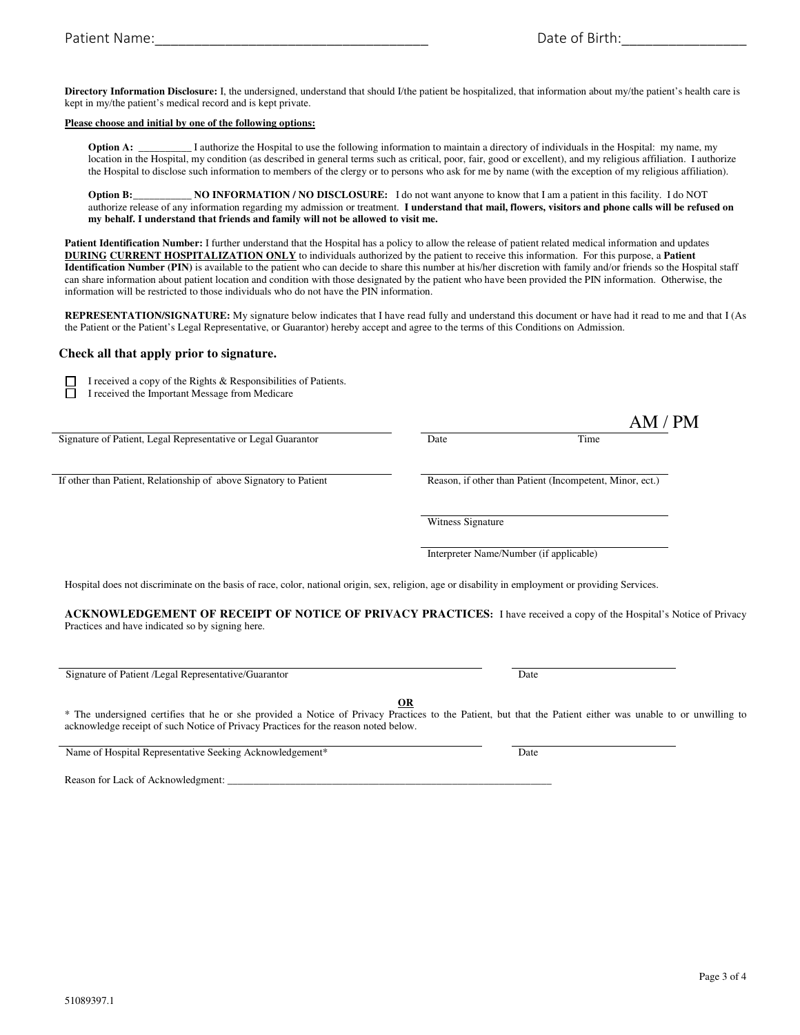**Directory Information Disclosure:** I, the undersigned, understand that should I/the patient be hospitalized, that information about my/the patient's health care is kept in my/the patient's medical record and is kept private.

#### **Please choose and initial by one of the following options:**

**Option A:** \_\_\_\_\_\_\_\_\_\_ I authorize the Hospital to use the following information to maintain a directory of individuals in the Hospital: my name, my location in the Hospital, my condition (as described in general terms such as critical, poor, fair, good or excellent), and my religious affiliation. I authorize the Hospital to disclose such information to members of the clergy or to persons who ask for me by name (with the exception of my religious affiliation).

**Option B:** \_\_\_\_\_\_\_\_\_\_\_ **NO INFORMATION / NO DISCLOSURE:** I do not want anyone to know that I am a patient in this facility. I do NOT authorize release of any information regarding my admission or treatment. **I understand that mail, flowers, visitors and phone calls will be refused on my behalf. I understand that friends and family will not be allowed to visit me.**

**Patient Identification Number:** I further understand that the Hospital has a policy to allow the release of patient related medical information and updates **DURING CURRENT HOSPITALIZATION ONLY** to individuals authorized by the patient to receive this information. For this purpose, a **Patient Identification Number (PIN)** is available to the patient who can decide to share this number at his/her discretion with family and/or friends so the Hospital staff can share information about patient location and condition with those designated by the patient who have been provided the PIN information. Otherwise, the information will be restricted to those individuals who do not have the PIN information.

**REPRESENTATION/SIGNATURE:** My signature below indicates that I have read fully and understand this document or have had it read to me and that I (As the Patient or the Patient's Legal Representative, or Guarantor) hereby accept and agree to the terms of this Conditions on Admission.

AM / PM

#### **Check all that apply prior to signature.**

 I received a copy of the Rights & Responsibilities of Patients. I received the Important Message from Medicare

Signature of Patient, Legal Representative or Legal Guarantor Date Date Date Time

If other than Patient, Relationship of above Signatory to Patient Reason, if other than Patient (Incompetent, Minor, ect.)

Witness Signature

Interpreter Name/Number (if applicable)

Hospital does not discriminate on the basis of race, color, national origin, sex, religion, age or disability in employment or providing Services.

**ACKNOWLEDGEMENT OF RECEIPT OF NOTICE OF PRIVACY PRACTICES:** I have received a copy of the Hospital's Notice of Privacy Practices and have indicated so by signing here.

| Signature of Patient /Legal Representative/Guarantor | Date |
|------------------------------------------------------|------|
|------------------------------------------------------|------|

**OR** 

\* The undersigned certifies that he or she provided a Notice of Privacy Practices to the Patient, but that the Patient either was unable to or unwilling to acknowledge receipt of such Notice of Privacy Practices for the reason noted below.

Name of Hospital Representative Seeking Acknowledgement\* Date

Reason for Lack of Acknowledgment: